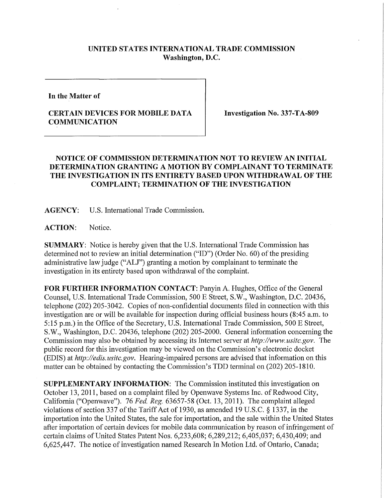## **UNITED STATES INTERNATIONAL TRADE COMMISSION Washington, D.C.**

**In the Matter of** 

## **CERTAIN DEVICES FOR MOBILE DATA COMMUNICATION**

**Investigation No. 337-TA-809** 

## **NOTICE OF COMMISSION DETERMINATION NOT TO REVIEW AN INITIAL DETERMINATION GRANTING A MOTION BY COMPLAINANT TO TERMINATE T HE INVESTIGATION IN ITS ENTIRET Y BASED UPON WITHDRAWAL OF THE COMPLAINT; TERMINATION OF THE INVESTIGATION**

**AGENCY:** U.S. International Trade Commission.

**ACTION:** Notice.

**SUMMARY:** Notice is hereby given that the U.S. International Trade Commission has determined not to review an initial determination ("ID") (Order No. 60) of the presiding administrative law judge ("ALJ") granting a motion by complainant to terminate the investigation in its entirety based upon withdrawal of the complaint.

**FOR FURTHER INFORMATION CONTACT: Panyin A. Hughes, Office of the General** Counsel, U.S. International Trade Commission, 500 E Street, S.W., Washington, D.C. 20436, telephone (202) 205-3042. Copies of non-confidential documents filed in connection with this investigation are or will be available for inspection during official business hours (8:45 a.m. to 5:15 p.m.) in the Office of the Secretary, U.S. International Trade Commission, 500 E Street, S.W., Washington, D.C. 20436, telephone (202) 205-2000. General infonnation concerning the Commission may also be obtained by accessing its Internet server at *http://www.usitc.gov.* The public record for this investigation may be viewed on the Commission's electronic docket (EDIS) at *http://edis.usitc.gov.* Hearing-impaired persons are advised that information on this matter can be obtained by contacting the Commission's TDD terminal on (202) 205-1810.

**SUPPLEMENTARY INFORMATION:** The Commission instituted this investigation on October 13, 2011, based on a complaint filed by Openwave Systems Inc. of Redwood City, Califomia ("Openwave"). 76 *Fed. Reg.* 63657-58 (Oct. 13, 2011). The complaint alleged violations of section 337 of the Tariff Act of 1930, as amended 19 U.S.C. § 1337, in the importation into the United States, the sale for importation, and the sale within the United States after importation of certain devices for mobile data communication by reason of infringement of certain claims of United States Patent Nos. 6,233,608; 6,289,212; 6,405,037; 6,430,409; and 6,625,447. The notice of investigation named Research In Motion Ltd. of Ontario, Canada;